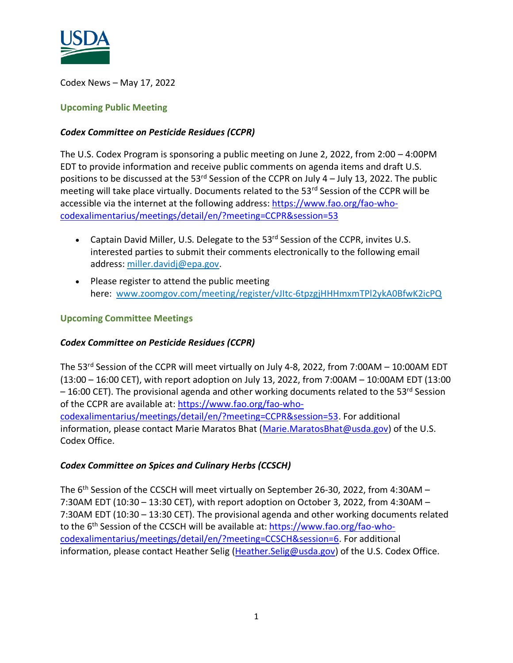

Codex News – May 17, 2022

### **Upcoming Public Meeting**

### *Codex Committee on Pesticide Residues (CCPR)*

The U.S. Codex Program is sponsoring a public meeting on June 2, 2022, from 2:00 – 4:00PM EDT to provide information and receive public comments on agenda items and draft U.S. positions to be discussed at the 53 $^{rd}$  Session of the CCPR on July 4 – July 13, 2022. The public meeting will take place virtually. Documents related to the 53<sup>rd</sup> Session of the CCPR will be accessible via the internet at the following address: [https://www.fao.org/fao-who](https://www.fao.org/fao-who-codexalimentarius/meetings/detail/en/?meeting=CCPR&session=53)[codexalimentarius/meetings/detail/en/?meeting=CCPR&session=53](https://www.fao.org/fao-who-codexalimentarius/meetings/detail/en/?meeting=CCPR&session=53) 

- Captain David Miller, U.S. Delegate to the 53<sup>rd</sup> Session of the CCPR, invites U.S. interested parties to submit their comments electronically to the following email address: [miller.davidj@epa.gov.](mailto:miller.davidj@epa.gov)
- Please register to attend the public meeting here: [www.zoomgov.com/meeting/register/vJItc-6tpzgjHHHmxmTPl2ykA0BfwK2icPQ](https://www.zoomgov.com/meeting/register/vJItc-6tpzgjHHHmxmTPl2ykA0BfwK2icPQ)

### **Upcoming Committee Meetings**

# *Codex Committee on Pesticide Residues (CCPR)*

The 53<sup>rd</sup> Session of the CCPR will meet virtually on July 4-8, 2022, from 7:00AM - 10:00AM EDT (13:00 – 16:00 CET), with report adoption on July 13, 2022, from 7:00AM – 10:00AM EDT (13:00  $-16:00$  CET). The provisional agenda and other working documents related to the 53<sup>rd</sup> Session of the CCPR are available at: [https://www.fao.org/fao-who](https://www.fao.org/fao-who-codexalimentarius/meetings/detail/en/?meeting=CCPR&session=53)[codexalimentarius/meetings/detail/en/?meeting=CCPR&session=53.](https://www.fao.org/fao-who-codexalimentarius/meetings/detail/en/?meeting=CCPR&session=53) For additional information, please contact Marie Maratos Bhat [\(Marie.MaratosBhat@usda.gov\)](mailto:Marie.MaratosBhat@usda.gov) of the U.S. Codex Office.

# *Codex Committee on Spices and Culinary Herbs (CCSCH)*

The 6<sup>th</sup> Session of the CCSCH will meet virtually on September 26-30, 2022, from 4:30AM -7:30AM EDT (10:30 – 13:30 CET), with report adoption on October 3, 2022, from 4:30AM – 7:30AM EDT (10:30 – 13:30 CET). The provisional agenda and other working documents related to the 6<sup>th</sup> Session of the CCSCH will be available at: **[https://www.fao.org/fao-who](https://www.fao.org/fao-who-codexalimentarius/meetings/detail/en/?meeting=CCSCH&session=6)**[codexalimentarius/meetings/detail/en/?meeting=CCSCH&session=6.](https://www.fao.org/fao-who-codexalimentarius/meetings/detail/en/?meeting=CCSCH&session=6) For additional information, please contact Heather Selig [\(Heather.Selig@usda.gov\)](mailto:Heather.Selig@usda.gov) of the U.S. Codex Office.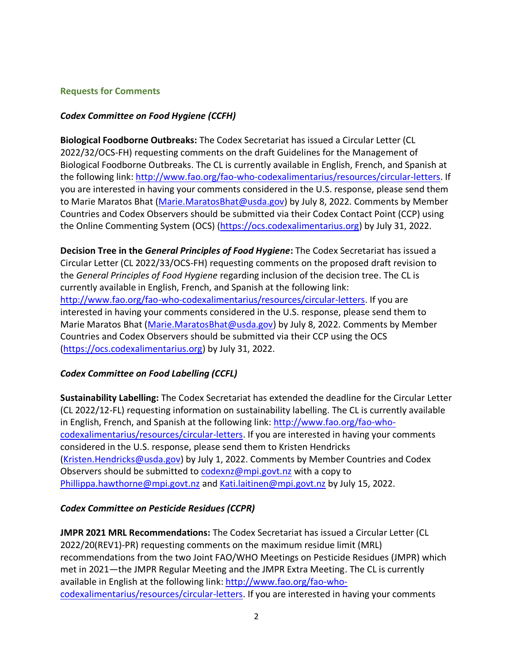#### **Requests for Comments**

### *Codex Committee on Food Hygiene (CCFH)*

**Biological Foodborne Outbreaks:** The Codex Secretariat has issued a Circular Letter (CL 2022/32/OCS-FH) requesting comments on the draft Guidelines for the Management of Biological Foodborne Outbreaks. The CL is currently available in English, French, and Spanish at the following link: [http://www.fao.org/fao-who-codexalimentarius/resources/circular-letters.](http://www.fao.org/fao-who-codexalimentarius/resources/circular-letters) If you are interested in having your comments considered in the U.S. response, please send them to Marie Maratos Bhat [\(Marie.MaratosBhat@usda.gov\)](mailto:Marie.MaratosBhat@usda.gov) by July 8, 2022. Comments by Member Countries and Codex Observers should be submitted via their Codex Contact Point (CCP) using the Online Commenting System (OCS) [\(https://ocs.codexalimentarius.org\)](https://ocs.codexalimentarius.org/) by July 31, 2022.

**Decision Tree in the** *General Principles of Food Hygiene***:** The Codex Secretariat has issued a Circular Letter (CL 2022/33/OCS-FH) requesting comments on the proposed draft revision to the *General Principles of Food Hygiene* regarding inclusion of the decision tree. The CL is currently available in English, French, and Spanish at the following link: [http://www.fao.org/fao-who-codexalimentarius/resources/circular-letters.](http://www.fao.org/fao-who-codexalimentarius/resources/circular-letters) If you are interested in having your comments considered in the U.S. response, please send them to Marie Maratos Bhat [\(Marie.MaratosBhat@usda.gov\)](mailto:Marie.MaratosBhat@usda.gov) by July 8, 2022. Comments by Member Countries and Codex Observers should be submitted via their CCP using the OCS [\(https://ocs.codexalimentarius.org\)](https://ocs.codexalimentarius.org/) by July 31, 2022.

# *Codex Committee on Food Labelling (CCFL)*

**Sustainability Labelling:** The Codex Secretariat has extended the deadline for the Circular Letter (CL 2022/12-FL) requesting information on sustainability labelling. The CL is currently available in English, French, and Spanish at the following link: [http://www.fao.org/fao-who](http://www.fao.org/fao-who-codexalimentarius/resources/circular-letters)[codexalimentarius/resources/circular-letters.](http://www.fao.org/fao-who-codexalimentarius/resources/circular-letters) If you are interested in having your comments considered in the U.S. response, please send them to Kristen Hendricks [\(Kristen.Hendricks@usda.gov\)](mailto:Kristen.Hendricks@usda.gov) by July 1, 2022. Comments by Member Countries and Codex Observers should be submitted to [codexnz@mpi.govt.nz](mailto:codexnz@mpi.govt.nz) with a copy to [Phillippa.hawthorne@mpi.govt.nz](mailto:Phillippa.hawthorne@mpi.govt.nz) and [Kati.laitinen@mpi.govt.nz](mailto:Kati.laitinen@mpi.govt.nz) by July 15, 2022.

# *Codex Committee on Pesticide Residues (CCPR)*

**JMPR 2021 MRL Recommendations:** The Codex Secretariat has issued a Circular Letter (CL 2022/20(REV1)-PR) requesting comments on the maximum residue limit (MRL) recommendations from the two Joint FAO/WHO Meetings on Pesticide Residues (JMPR) which met in 2021—the JMPR Regular Meeting and the JMPR Extra Meeting. The CL is currently available in English at the following link: [http://www.fao.org/fao-who](http://www.fao.org/fao-who-codexalimentarius/resources/circular-letters)[codexalimentarius/resources/circular-letters.](http://www.fao.org/fao-who-codexalimentarius/resources/circular-letters) If you are interested in having your comments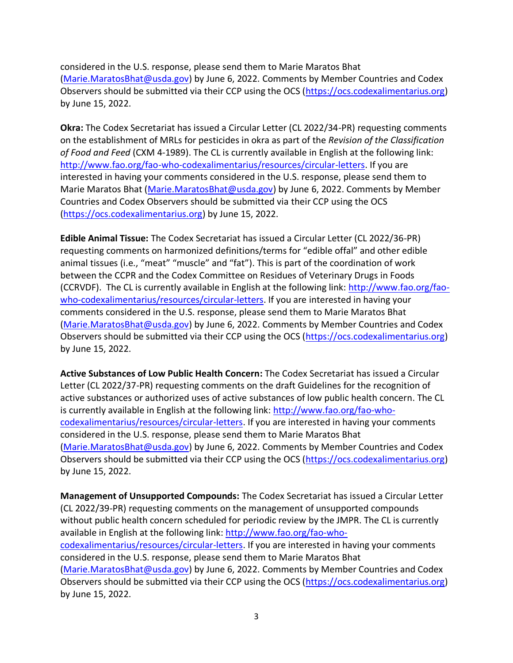considered in the U.S. response, please send them to Marie Maratos Bhat [\(Marie.MaratosBhat@usda.gov\)](mailto:Marie.MaratosBhat@usda.gov) by June 6, 2022. Comments by Member Countries and Codex Observers should be submitted via their CCP using the OCS [\(https://ocs.codexalimentarius.org\)](https://ocs.codexalimentarius.org/) by June 15, 2022.

**Okra:** The Codex Secretariat has issued a Circular Letter (CL 2022/34-PR) requesting comments on the establishment of MRLs for pesticides in okra as part of the *Revision of the Classification of Food and Feed* (CXM 4-1989). The CL is currently available in English at the following link: [http://www.fao.org/fao-who-codexalimentarius/resources/circular-letters.](http://www.fao.org/fao-who-codexalimentarius/resources/circular-letters) If you are interested in having your comments considered in the U.S. response, please send them to Marie Maratos Bhat [\(Marie.MaratosBhat@usda.gov\)](mailto:Marie.MaratosBhat@usda.gov) by June 6, 2022. Comments by Member Countries and Codex Observers should be submitted via their CCP using the OCS [\(https://ocs.codexalimentarius.org\)](https://ocs.codexalimentarius.org/) by June 15, 2022.

**Edible Animal Tissue:** The Codex Secretariat has issued a Circular Letter (CL 2022/36-PR) requesting comments on harmonized definitions/terms for "edible offal" and other edible animal tissues (i.e., "meat" "muscle" and "fat"). This is part of the coordination of work between the CCPR and the Codex Committee on Residues of Veterinary Drugs in Foods (CCRVDF). The CL is currently available in English at the following link: [http://www.fao.org/fao](http://www.fao.org/fao-who-codexalimentarius/resources/circular-letters)[who-codexalimentarius/resources/circular-letters.](http://www.fao.org/fao-who-codexalimentarius/resources/circular-letters) If you are interested in having your comments considered in the U.S. response, please send them to Marie Maratos Bhat [\(Marie.MaratosBhat@usda.gov\)](mailto:Marie.MaratosBhat@usda.gov) by June 6, 2022. Comments by Member Countries and Codex Observers should be submitted via their CCP using the OCS [\(https://ocs.codexalimentarius.org\)](https://ocs.codexalimentarius.org/) by June 15, 2022.

**Active Substances of Low Public Health Concern:** The Codex Secretariat has issued a Circular Letter (CL 2022/37-PR) requesting comments on the draft Guidelines for the recognition of active substances or authorized uses of active substances of low public health concern. The CL is currently available in English at the following link: [http://www.fao.org/fao-who](http://www.fao.org/fao-who-codexalimentarius/resources/circular-letters)[codexalimentarius/resources/circular-letters.](http://www.fao.org/fao-who-codexalimentarius/resources/circular-letters) If you are interested in having your comments considered in the U.S. response, please send them to Marie Maratos Bhat [\(Marie.MaratosBhat@usda.gov\)](mailto:Marie.MaratosBhat@usda.gov) by June 6, 2022. Comments by Member Countries and Codex Observers should be submitted via their CCP using the OCS [\(https://ocs.codexalimentarius.org\)](https://ocs.codexalimentarius.org/) by June 15, 2022.

**Management of Unsupported Compounds:** The Codex Secretariat has issued a Circular Letter (CL 2022/39-PR) requesting comments on the management of unsupported compounds without public health concern scheduled for periodic review by the JMPR. The CL is currently available in English at the following link: [http://www.fao.org/fao-who](http://www.fao.org/fao-who-codexalimentarius/resources/circular-letters)[codexalimentarius/resources/circular-letters.](http://www.fao.org/fao-who-codexalimentarius/resources/circular-letters) If you are interested in having your comments considered in the U.S. response, please send them to Marie Maratos Bhat [\(Marie.MaratosBhat@usda.gov\)](mailto:Marie.MaratosBhat@usda.gov) by June 6, 2022. Comments by Member Countries and Codex Observers should be submitted via their CCP using the OCS [\(https://ocs.codexalimentarius.org\)](https://ocs.codexalimentarius.org/) by June 15, 2022.